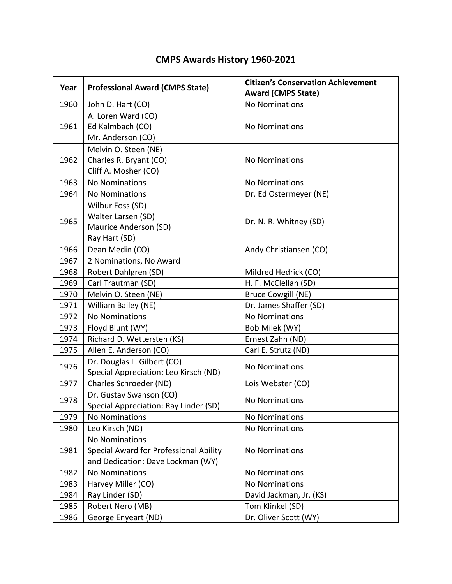| Year | <b>Professional Award (CMPS State)</b> | <b>Citizen's Conservation Achievement</b><br><b>Award (CMPS State)</b> |  |  |
|------|----------------------------------------|------------------------------------------------------------------------|--|--|
| 1960 | John D. Hart (CO)                      | <b>No Nominations</b>                                                  |  |  |
|      | A. Loren Ward (CO)                     |                                                                        |  |  |
| 1961 | Ed Kalmbach (CO)                       | <b>No Nominations</b>                                                  |  |  |
|      | Mr. Anderson (CO)                      |                                                                        |  |  |
| 1962 | Melvin O. Steen (NE)                   | <b>No Nominations</b>                                                  |  |  |
|      | Charles R. Bryant (CO)                 |                                                                        |  |  |
|      | Cliff A. Mosher (CO)                   |                                                                        |  |  |
| 1963 | <b>No Nominations</b>                  | <b>No Nominations</b>                                                  |  |  |
| 1964 | <b>No Nominations</b>                  | Dr. Ed Ostermeyer (NE)                                                 |  |  |
|      | Wilbur Foss (SD)                       |                                                                        |  |  |
|      | Walter Larsen (SD)                     |                                                                        |  |  |
| 1965 | Maurice Anderson (SD)                  | Dr. N. R. Whitney (SD)                                                 |  |  |
|      | Ray Hart (SD)                          |                                                                        |  |  |
| 1966 | Dean Medin (CO)                        | Andy Christiansen (CO)                                                 |  |  |
| 1967 | 2 Nominations, No Award                |                                                                        |  |  |
| 1968 | Robert Dahlgren (SD)                   | Mildred Hedrick (CO)                                                   |  |  |
| 1969 | Carl Trautman (SD)                     | H. F. McClellan (SD)                                                   |  |  |
| 1970 | Melvin O. Steen (NE)                   | <b>Bruce Cowgill (NE)</b>                                              |  |  |
| 1971 | William Bailey (NE)                    | Dr. James Shaffer (SD)                                                 |  |  |
| 1972 | <b>No Nominations</b>                  | <b>No Nominations</b>                                                  |  |  |
| 1973 | Floyd Blunt (WY)                       | Bob Milek (WY)                                                         |  |  |
| 1974 | Richard D. Wettersten (KS)             | Ernest Zahn (ND)                                                       |  |  |
| 1975 | Allen E. Anderson (CO)                 | Carl E. Strutz (ND)                                                    |  |  |
| 1976 | Dr. Douglas L. Gilbert (CO)            | <b>No Nominations</b>                                                  |  |  |
|      | Special Appreciation: Leo Kirsch (ND)  |                                                                        |  |  |
| 1977 | Charles Schroeder (ND)                 | Lois Webster (CO)                                                      |  |  |
| 1978 | Dr. Gustav Swanson (CO)                | <b>No Nominations</b>                                                  |  |  |
|      | Special Appreciation: Ray Linder (SD)  |                                                                        |  |  |
| 1979 | <b>No Nominations</b>                  | <b>No Nominations</b>                                                  |  |  |
| 1980 | Leo Kirsch (ND)                        | <b>No Nominations</b>                                                  |  |  |
| 1981 | <b>No Nominations</b>                  | <b>No Nominations</b>                                                  |  |  |
|      | Special Award for Professional Ability |                                                                        |  |  |
|      | and Dedication: Dave Lockman (WY)      |                                                                        |  |  |
| 1982 | <b>No Nominations</b>                  | <b>No Nominations</b>                                                  |  |  |
| 1983 | Harvey Miller (CO)                     | <b>No Nominations</b>                                                  |  |  |
| 1984 | Ray Linder (SD)                        | David Jackman, Jr. (KS)                                                |  |  |
| 1985 | Robert Nero (MB)                       | Tom Klinkel (SD)                                                       |  |  |
| 1986 | George Enyeart (ND)                    | Dr. Oliver Scott (WY)                                                  |  |  |

## **CMPS Awards History 1960-2021**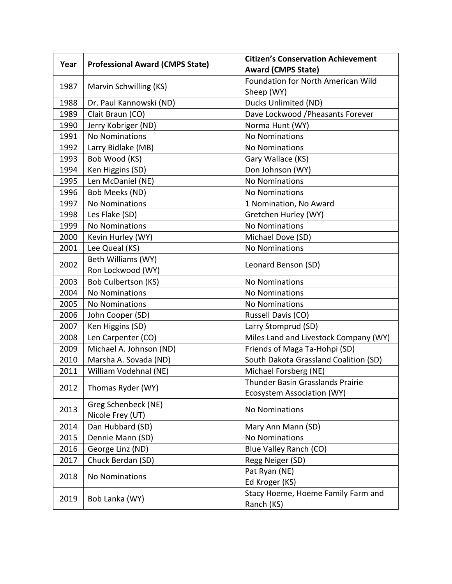| Year | <b>Professional Award (CMPS State)</b> | <b>Citizen's Conservation Achievement</b> |  |  |
|------|----------------------------------------|-------------------------------------------|--|--|
|      |                                        | <b>Award (CMPS State)</b>                 |  |  |
| 1987 | Marvin Schwilling (KS)                 | Foundation for North American Wild        |  |  |
|      |                                        | Sheep (WY)                                |  |  |
| 1988 | Dr. Paul Kannowski (ND)                | Ducks Unlimited (ND)                      |  |  |
| 1989 | Clait Braun (CO)                       | Dave Lockwood / Pheasants Forever         |  |  |
| 1990 | Jerry Kobriger (ND)                    | Norma Hunt (WY)                           |  |  |
| 1991 | <b>No Nominations</b>                  | <b>No Nominations</b>                     |  |  |
| 1992 | Larry Bidlake (MB)                     | <b>No Nominations</b>                     |  |  |
| 1993 | Bob Wood (KS)                          | Gary Wallace (KS)                         |  |  |
| 1994 | Ken Higgins (SD)                       | Don Johnson (WY)                          |  |  |
| 1995 | Len McDaniel (NE)                      | <b>No Nominations</b>                     |  |  |
| 1996 | Bob Meeks (ND)                         | <b>No Nominations</b>                     |  |  |
| 1997 | <b>No Nominations</b>                  | 1 Nomination, No Award                    |  |  |
| 1998 | Les Flake (SD)                         | Gretchen Hurley (WY)                      |  |  |
| 1999 | <b>No Nominations</b>                  | <b>No Nominations</b>                     |  |  |
| 2000 | Kevin Hurley (WY)                      | Michael Dove (SD)                         |  |  |
| 2001 | Lee Queal (KS)                         | <b>No Nominations</b>                     |  |  |
|      | Beth Williams (WY)                     | Leonard Benson (SD)                       |  |  |
| 2002 | Ron Lockwood (WY)                      |                                           |  |  |
| 2003 | Bob Culbertson (KS)                    | <b>No Nominations</b>                     |  |  |
| 2004 | <b>No Nominations</b>                  | <b>No Nominations</b>                     |  |  |
| 2005 | <b>No Nominations</b>                  | <b>No Nominations</b>                     |  |  |
| 2006 | John Cooper (SD)                       | Russell Davis (CO)                        |  |  |
| 2007 | Ken Higgins (SD)                       | Larry Stomprud (SD)                       |  |  |
| 2008 | Len Carpenter (CO)                     | Miles Land and Livestock Company (WY)     |  |  |
| 2009 | Michael A. Johnson (ND)                | Friends of Maga Ta-Hohpi (SD)             |  |  |
| 2010 | Marsha A. Sovada (ND)                  | South Dakota Grassland Coalition (SD)     |  |  |
| 2011 | William Vodehnal (NE)                  | Michael Forsberg (NE)                     |  |  |
| 2012 | Thomas Ryder (WY)                      | <b>Thunder Basin Grasslands Prairie</b>   |  |  |
|      |                                        | Ecosystem Association (WY)                |  |  |
|      | Greg Schenbeck (NE)                    | <b>No Nominations</b>                     |  |  |
| 2013 | Nicole Frey (UT)                       |                                           |  |  |
| 2014 | Dan Hubbard (SD)                       | Mary Ann Mann (SD)                        |  |  |
| 2015 | Dennie Mann (SD)                       | <b>No Nominations</b>                     |  |  |
| 2016 | George Linz (ND)                       | Blue Valley Ranch (CO)                    |  |  |
| 2017 | Chuck Berdan (SD)                      | Regg Neiger (SD)                          |  |  |
| 2018 | <b>No Nominations</b>                  | Pat Ryan (NE)                             |  |  |
|      |                                        | Ed Kroger (KS)                            |  |  |
| 2019 | Bob Lanka (WY)                         | Stacy Hoeme, Hoeme Family Farm and        |  |  |
|      |                                        | Ranch (KS)                                |  |  |